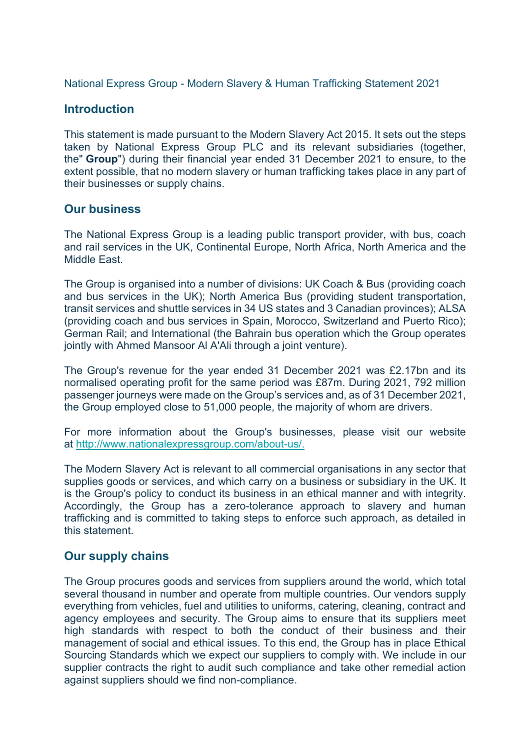National Express Group - Modern Slavery & Human Trafficking Statement 2021

## **Introduction**

This statement is made pursuant to the Modern Slavery Act 2015. It sets out the steps taken by National Express Group PLC and its relevant subsidiaries (together, the" **Group**") during their financial year ended 31 December 2021 to ensure, to the extent possible, that no modern slavery or human trafficking takes place in any part of their businesses or supply chains.

### **Our business**

The National Express Group is a leading public transport provider, with bus, coach and rail services in the UK, Continental Europe, North Africa, North America and the Middle East.

The Group is organised into a number of divisions: UK Coach & Bus (providing coach and bus services in the UK); North America Bus (providing student transportation, transit services and shuttle services in 34 US states and 3 Canadian provinces); ALSA (providing coach and bus services in Spain, Morocco, Switzerland and Puerto Rico); German Rail; and International (the Bahrain bus operation which the Group operates jointly with Ahmed Mansoor Al A'Ali through a joint venture).

The Group's revenue for the year ended 31 December 2021 was £2.17bn and its normalised operating profit for the same period was £87m. During 2021, 792 million passenger journeys were made on the Group's services and, as of 31 December 2021, the Group employed close to 51,000 people, the majority of whom are drivers.

For more information about the Group's businesses, please visit our website at [http://www.nationalexpressgroup.com/about-us/.](http://www.nationalexpressgroup.com/about-us/)

The Modern Slavery Act is relevant to all commercial organisations in any sector that supplies goods or services, and which carry on a business or subsidiary in the UK. It is the Group's policy to conduct its business in an ethical manner and with integrity. Accordingly, the Group has a zero-tolerance approach to slavery and human trafficking and is committed to taking steps to enforce such approach, as detailed in this statement.

## **Our supply chains**

The Group procures goods and services from suppliers around the world, which total several thousand in number and operate from multiple countries. Our vendors supply everything from vehicles, fuel and utilities to uniforms, catering, cleaning, contract and agency employees and security. The Group aims to ensure that its suppliers meet high standards with respect to both the conduct of their business and their management of social and ethical issues. To this end, the Group has in place Ethical Sourcing Standards which we expect our suppliers to comply with. We include in our supplier contracts the right to audit such compliance and take other remedial action against suppliers should we find non-compliance.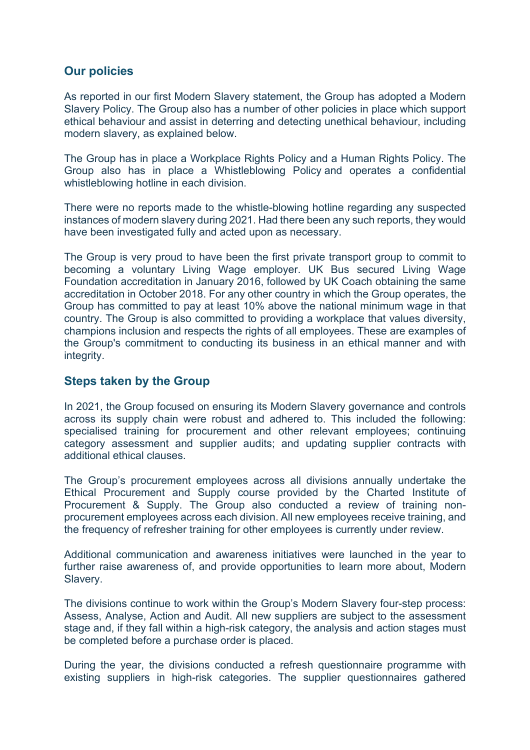# **Our policies**

As reported in our first Modern Slavery statement, the Group has adopted a Modern Slavery Policy. The Group also has a number of other policies in place which support ethical behaviour and assist in deterring and detecting unethical behaviour, including modern slavery, as explained below.

The Group has in place a Workplace Rights Policy and a Human Rights Policy. The Group also has in place a Whistleblowing Policy and operates a confidential whistleblowing hotline in each division.

There were no reports made to the whistle-blowing hotline regarding any suspected instances of modern slavery during 2021. Had there been any such reports, they would have been investigated fully and acted upon as necessary.

The Group is very proud to have been the first private transport group to commit to becoming a voluntary Living Wage employer. UK Bus secured Living Wage Foundation accreditation in January 2016, followed by UK Coach obtaining the same accreditation in October 2018. For any other country in which the Group operates, the Group has committed to pay at least 10% above the national minimum wage in that country. The Group is also committed to providing a workplace that values diversity, champions inclusion and respects the rights of all employees. These are examples of the Group's commitment to conducting its business in an ethical manner and with integrity.

## **Steps taken by the Group**

In 2021, the Group focused on ensuring its Modern Slavery governance and controls across its supply chain were robust and adhered to. This included the following: specialised training for procurement and other relevant employees; continuing category assessment and supplier audits; and updating supplier contracts with additional ethical clauses.

The Group's procurement employees across all divisions annually undertake the Ethical Procurement and Supply course provided by the Charted Institute of Procurement & Supply. The Group also conducted a review of training nonprocurement employees across each division. All new employees receive training, and the frequency of refresher training for other employees is currently under review.

Additional communication and awareness initiatives were launched in the year to further raise awareness of, and provide opportunities to learn more about, Modern Slavery.

The divisions continue to work within the Group's Modern Slavery four-step process: Assess, Analyse, Action and Audit. All new suppliers are subject to the assessment stage and, if they fall within a high-risk category, the analysis and action stages must be completed before a purchase order is placed.

During the year, the divisions conducted a refresh questionnaire programme with existing suppliers in high-risk categories. The supplier questionnaires gathered